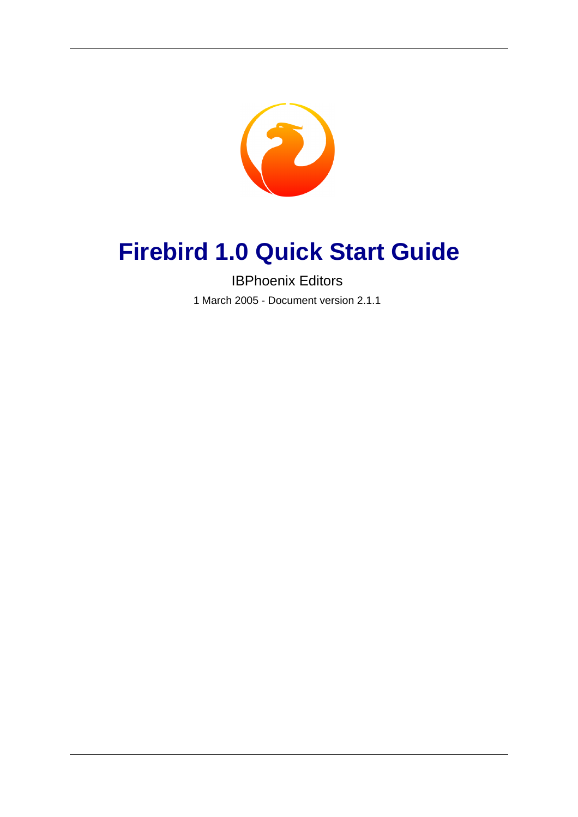<span id="page-0-0"></span>

# **Firebird 1.0 Quick Start Guide**

IBPhoenix Editors

1 March 2005 - Document version 2.1.1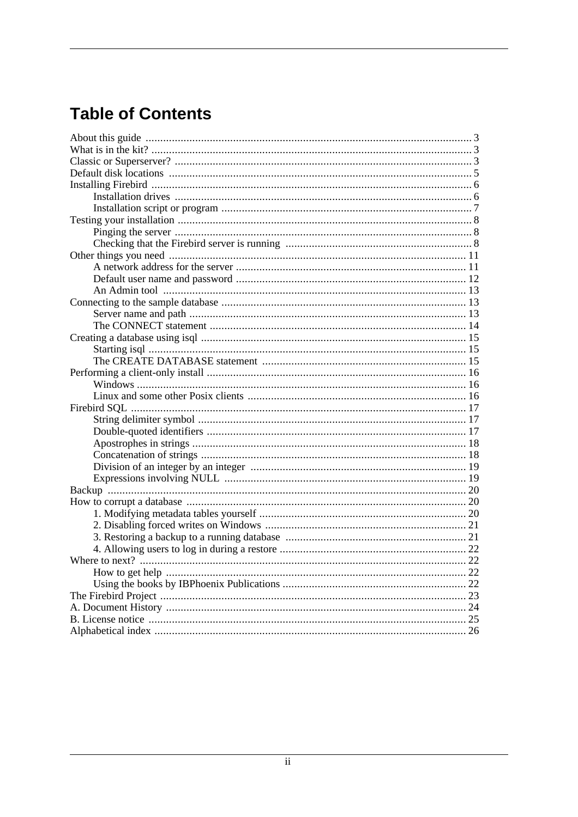# **Table of Contents**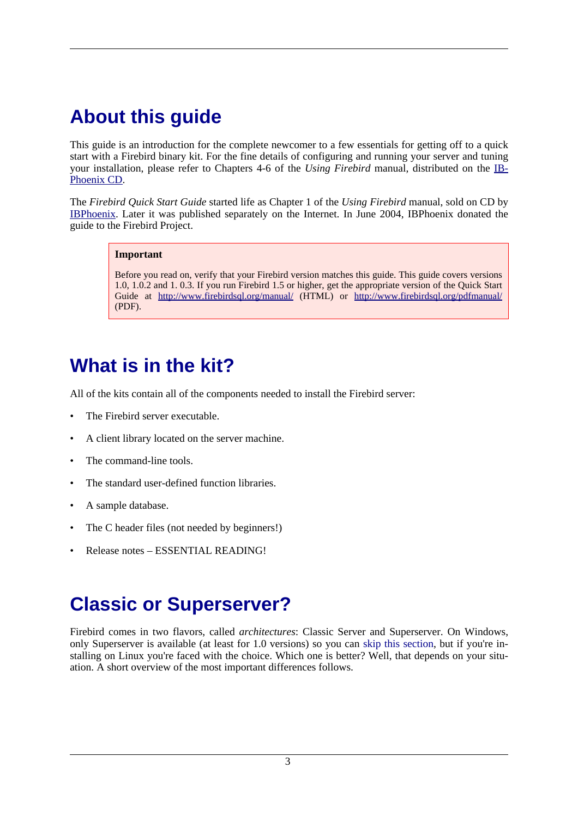# <span id="page-2-0"></span>**About this guide**

This guide is an introduction for the complete newcomer to a few essentials for getting off to a quick start with a Firebird binary kit. For the fine details of configuring and running your server and tuning your installation, please refer to Chapters 4-6 of the *Using Firebird* manual, distributed on the IB-[Phoenix](http://www.ibphoenix.com/main.nfs?a=ibphoenix&page=ibp_cd) CD.

The *Firebird Quick Start Guide* started life as Chapter 1 of the *Using Firebird* manual, sold on CD by [IBPhoenix](http://www.ibphoenix.com). Later it was published separately on the Internet. In June 2004, IBPhoenix donated the guide to the Firebird Project.

#### **Important**

Before you read on, verify that your Firebird version matches this guide. This guide covers versions 1.0, 1.0.2 and 1. 0.3. If you run Firebird 1.5 or higher, get the appropriate version of the Quick Start Guide at ht[tp://www.firebirdsql.org/manual/](http://www.firebirdsql.org/manual/) (HTML) or http:[//www.firebirdsql.org/pdfmanual/](http://www.firebirdsql.org/pdfmanual/) (PDF).

# <span id="page-2-4"></span><span id="page-2-1"></span>**What is in the kit?**

All of the kits contain all of the components needed to install the Firebird server:

- The Firebird server executable.
- A client library located on the server machine.
- The command-line tools.
- The standard user-defined function libraries.
- A sample database.
- The C header files (not needed by beginners!)
- <span id="page-2-2"></span>• Release notes – ESSENTIAL READING!

# <span id="page-2-3"></span>**Classic or Superserver?**

Firebird comes in two flavors, called *architectures*: Classic Server and Superserver. On Windows, only Superserver is available (at least for 1.0 versions) so you can s[kip this section, b](#page-4-0)ut if you're installing on Linux you're faced with the choice. Which one is better? Well, that depends on your situation. A short overview of the most important differences follows.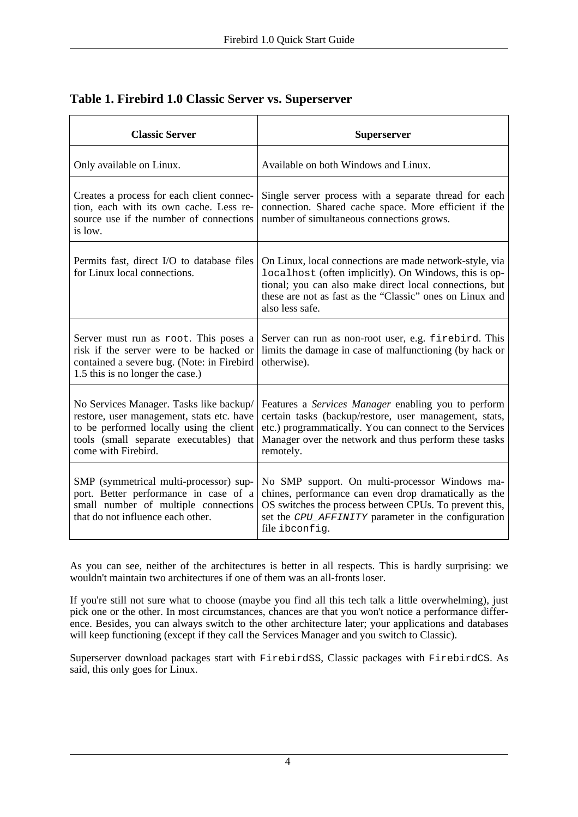| <b>Classic Server</b>                                                                                                                                                                              | <b>Superserver</b>                                                                                                                                                                                                                                         |
|----------------------------------------------------------------------------------------------------------------------------------------------------------------------------------------------------|------------------------------------------------------------------------------------------------------------------------------------------------------------------------------------------------------------------------------------------------------------|
| Only available on Linux.                                                                                                                                                                           | Available on both Windows and Linux.                                                                                                                                                                                                                       |
| Creates a process for each client connec-<br>tion, each with its own cache. Less re-<br>source use if the number of connections<br>is low.                                                         | Single server process with a separate thread for each<br>connection. Shared cache space. More efficient if the<br>number of simultaneous connections grows.                                                                                                |
| Permits fast, direct I/O to database files<br>for Linux local connections.                                                                                                                         | On Linux, local connections are made network-style, via<br>localhost (often implicitly). On Windows, this is op-<br>tional; you can also make direct local connections, but<br>these are not as fast as the "Classic" ones on Linux and<br>also less safe. |
| Server must run as root. This poses a<br>risk if the server were to be hacked or<br>contained a severe bug. (Note: in Firebird<br>1.5 this is no longer the case.)                                 | Server can run as non-root user, e.g. firebird. This<br>limits the damage in case of malfunctioning (by hack or<br>otherwise).                                                                                                                             |
| No Services Manager. Tasks like backup/<br>restore, user management, stats etc. have<br>to be performed locally using the client<br>tools (small separate executables) that<br>come with Firebird. | Features a Services Manager enabling you to perform<br>certain tasks (backup/restore, user management, stats,<br>etc.) programmatically. You can connect to the Services<br>Manager over the network and thus perform these tasks<br>remotely.             |
| SMP (symmetrical multi-processor) sup-<br>port. Better performance in case of a<br>small number of multiple connections<br>that do not influence each other.                                       | No SMP support. On multi-processor Windows ma-<br>chines, performance can even drop dramatically as the<br>OS switches the process between CPUs. To prevent this,<br>set the CPU_AFFINITY parameter in the configuration<br>file ibconfig.                 |

### **Table 1. Firebird 1.0 Classic Server vs. Superserver**

As you can see, neither of the architectures is better in all respects. This is hardly surprising: we wouldn't maintain two architectures if one of them was an all-fronts loser.

If you're still not sure what to choose (maybe you find all this tech talk a little overwhelming), just pick one or the other. In most circumstances, chances are that you won't notice a performance difference. Besides, you can always switch to the other architecture later; your applications and databases will keep functioning (except if they call the Services Manager and you switch to Classic).

Superserver download packages start with FirebirdSS, Classic packages with FirebirdCS. As said, this only goes for Linux.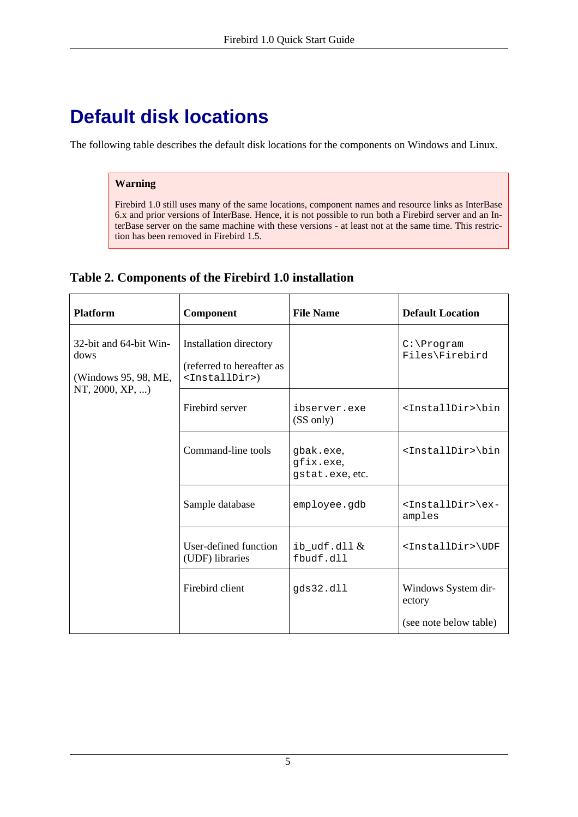# <span id="page-4-2"></span><span id="page-4-0"></span>**Default disk locations**

The following table describes the default disk locations for the components on Windows and Linux.

### **Warning**

Firebird 1.0 still uses many of the same locations, component names and resource links as InterBase 6.x and prior versions of InterBase. Hence, it is not possible to run both a Firebird server and an InterBase server on the same machine with these versions - at least not at the same time. This restriction has been removed in Firebird 1.5.

<span id="page-4-1"></span>

| Table 2. Components of the Firebird 1.0 installation |  |  |
|------------------------------------------------------|--|--|
|                                                      |  |  |

| <b>Platform</b>                                        | Component                                                                         | <b>File Name</b>                          | <b>Default Location</b>                  |
|--------------------------------------------------------|-----------------------------------------------------------------------------------|-------------------------------------------|------------------------------------------|
| 32-bit and 64-bit Win-<br>dows<br>(Windows 95, 98, ME, | Installation directory<br>(referred to hereafter as<br><installdir>)</installdir> |                                           | $C:\P$ rogram<br>Files\Firebird          |
| NT, $2000, XP, $ )                                     | Firebird server                                                                   | ibserver.exe<br>(SS only)                 | <installdir>\bin</installdir>            |
|                                                        | Command-line tools                                                                | gbak.exe,<br>gfix.exe,<br>gstat.exe, etc. | <installdir>\bin</installdir>            |
|                                                        | Sample database                                                                   | employee.gdb                              | <installdir>\ex-<br/>amples</installdir> |
|                                                        | User-defined function<br>(UDF) libraries                                          | ib_udf.dll $\&$<br>fbudf.dll              | <installdir>\UDF</installdir>            |
|                                                        | Firebird client                                                                   | gds32.dll                                 | Windows System dir-<br>ectory            |
|                                                        |                                                                                   |                                           | (see note below table)                   |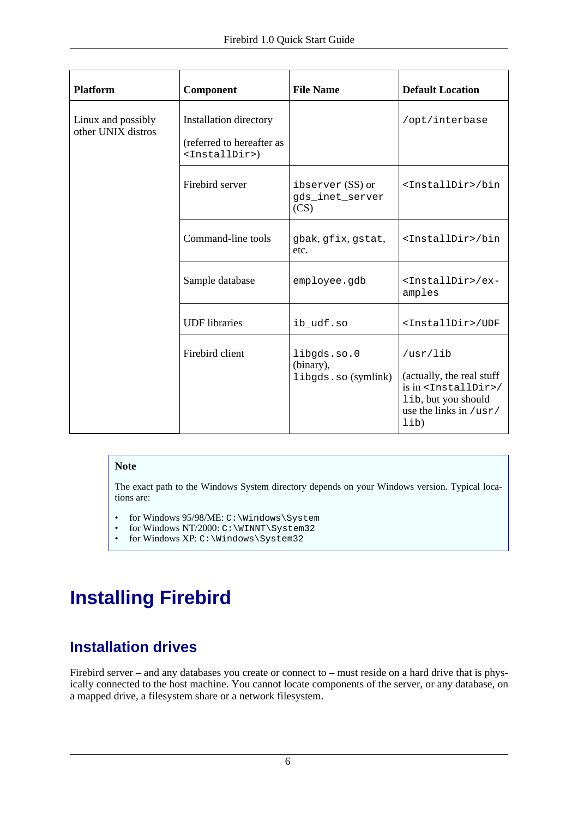| <b>Platform</b>                          | Component                                                                         | <b>File Name</b>                                | <b>Default Location</b>                                                                                                                                   |
|------------------------------------------|-----------------------------------------------------------------------------------|-------------------------------------------------|-----------------------------------------------------------------------------------------------------------------------------------------------------------|
| Linux and possibly<br>other UNIX distros | Installation directory<br>(referred to hereafter as<br><installdir>)</installdir> |                                                 | /opt/interbase                                                                                                                                            |
|                                          | Firebird server                                                                   | ibserver $(SS)$ or<br>gds_inet_server<br>(CS)   | <installdir>/bin</installdir>                                                                                                                             |
|                                          | Command-line tools                                                                | gbak, gfix, gstat,<br>etc.                      | <installdir>/bin</installdir>                                                                                                                             |
|                                          | Sample database                                                                   | employee.gdb                                    | <installdir>/ex-<br/>amples</installdir>                                                                                                                  |
|                                          | <b>UDF</b> libraries                                                              | ib_udf.so                                       | <installdir>/UDF</installdir>                                                                                                                             |
|                                          | Firebird client                                                                   | libgds.so.0<br>(binary),<br>libgds.so (symlink) | /usr/lib<br>(actually, the real stuff<br>is in <installdir>/<br/>lib, but you should<br/>use the links in <math>/\text{usr}/</math><br/>lib)</installdir> |

### **Note**

The exact path to the Windows System directory depends on your Windows version. Typical locations are:

- for Windows  $95/98/ME: C:\Windows\System$ <br>• for Windows NT/2000:  $C:\W1NDT\Svetem32$
- for Windows NT/2000: C:\WINNT\System32
- for Windows XP: C:\Windows\System32

# <span id="page-5-2"></span><span id="page-5-1"></span><span id="page-5-0"></span>**Installing Firebird**

# <span id="page-5-3"></span>**Installation drives**

Firebird server – and any databases you create or connect to – must reside on a hard drive that is physically connected to the host machine. You cannot locate components of the server, or any database, on a mapped drive, a filesystem share or a network filesystem.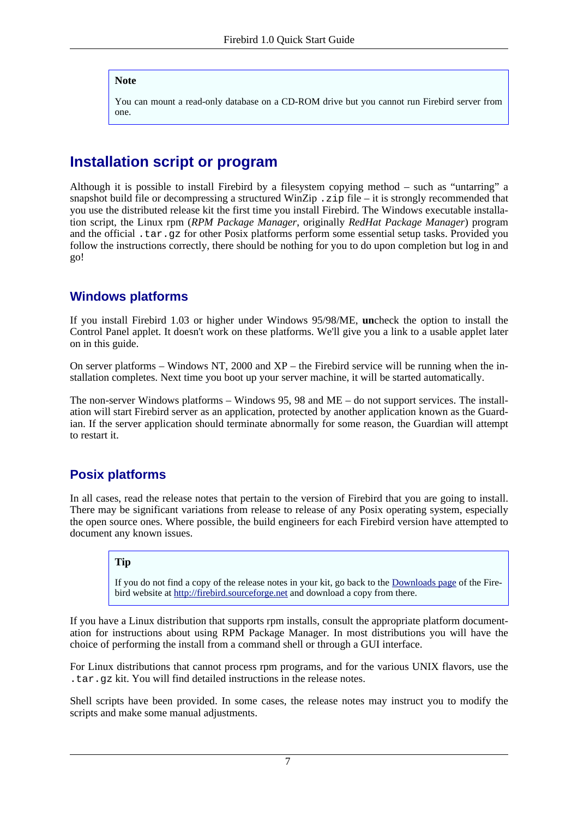#### **Note**

You can mount a read-only database on a CD-ROM drive but you cannot run Firebird server from one.

## <span id="page-6-2"></span><span id="page-6-0"></span>**Installation script or program**

Although it is possible to install Firebird by a filesystem copying method – such as "untarring" a snapshot build file or decompressing a structured WinZip .  $z$  is file – it is strongly recommended that you use the distributed release kit the first time you install Firebird. The Windows executable installation script, the Linux rpm (*RPM Package Manager*, originally *RedHat Package Manager*) program and the official .tar.gz for other Posix platforms perform some essential setup tasks. Provided you follow the instructions correctly, there should be nothing for you to do upon completion but log in and go!

### **Windows platforms**

If you install Firebird 1.03 or higher under Windows 95/98/ME, **un**check the option to install the Control Panel applet. It doesn't work on these platforms. We'll give you a link to a usable applet later on in this guide.

On server platforms – Windows NT, 2000 and XP – the Firebird service will be running when the installation completes. Next time you boot up your server machine, it will be started automatically.

<span id="page-6-1"></span>The non-server Windows platforms – Windows 95, 98 and ME – do not support services. The installation will start Firebird server as an application, protected by another application known as the Guardian. If the server application should terminate abnormally for some reason, the Guardian will attempt to restart it.

### **Posix platforms**

In all cases, read the release notes that pertain to the version of Firebird that you are going to install. There may be significant variations from release to release of any Posix operating system, especially the open source ones. Where possible, the build engineers for each Firebird version have attempted to document any known issues.

### **Tip**

If you do not find a copy of the release notes in your kit, go back to the [Downloads](http://firebird.sourceforge.net/index.php?op=files) page of the Firebird website at <http://firebird.sourceforge.net> and download a copy from there.

If you have a Linux distribution that supports rpm installs, consult the appropriate platform documentation for instructions about using RPM Package Manager. In most distributions you will have the choice of performing the install from a command shell or through a GUI interface.

For Linux distributions that cannot process rpm programs, and for the various UNIX flavors, use the .tar.gz kit. You will find detailed instructions in the release notes.

Shell scripts have been provided. In some cases, the release notes may instruct you to modify the scripts and make some manual adjustments.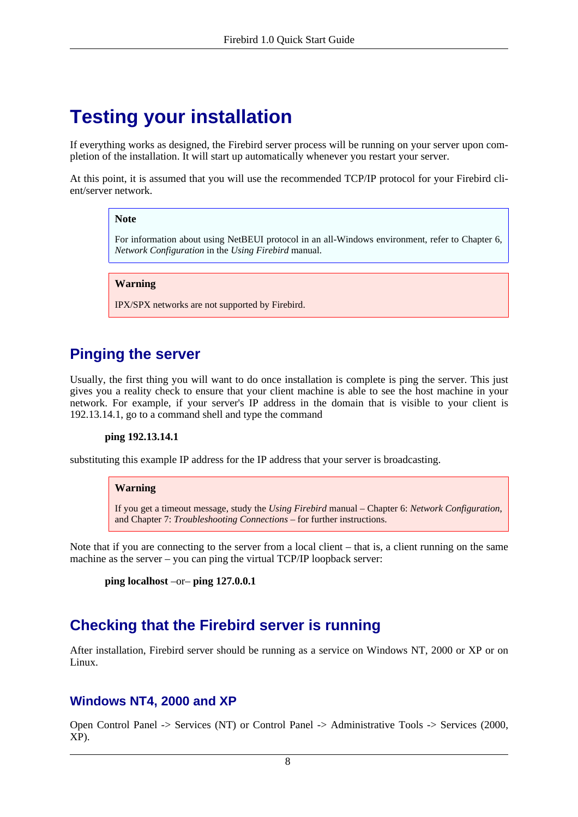# <span id="page-7-5"></span><span id="page-7-0"></span>**Testing your installation**

If everything works as designed, the Firebird server process will be running on your server upon completion of the installation. It will start up automatically whenever you restart your server.

At this point, it is assumed that you will use the recommended TCP/IP protocol for your Firebird client/server network.

#### **Note**

For information about using NetBEUI protocol in an all-Windows environment, refer to Chapter 6, *Network Configuration* in the *Using Firebird* manual.

#### **Warning**

IPX/SPX networks are not supported by Firebird.

### <span id="page-7-4"></span><span id="page-7-1"></span>**Pinging the server**

Usually, the first thing you will want to do once installation is complete is ping the server. This just gives you a reality check to ensure that your client machine is able to see the host machine in your network. For example, if your server's IP address in the domain that is visible to your client is 192.13.14.1, go to a command shell and type the command

#### **ping 192.13.14.1**

substituting this example IP address for the IP address that your server is broadcasting.

#### **Warning**

If you get a timeout message, study the *Using Firebird* manual – Chapter 6: *Network Configuration*, and Chapter 7: *Troubleshooting Connections* – for further instructions.

Note that if you are connecting to the server from a local client – that is, a client running on the same machine as the server – you can ping the virtual TCP/IP loopback server:

```
ping localhost –or– ping 127.0.0.1
```
### <span id="page-7-3"></span><span id="page-7-2"></span>**Checking that the Firebird server is running**

After installation, Firebird server should be running as a service on Windows NT, 2000 or XP or on Linux.

### **Windows NT4, 2000 and XP**

Open Control Panel -> Services (NT) or Control Panel -> Administrative Tools -> Services (2000, XP).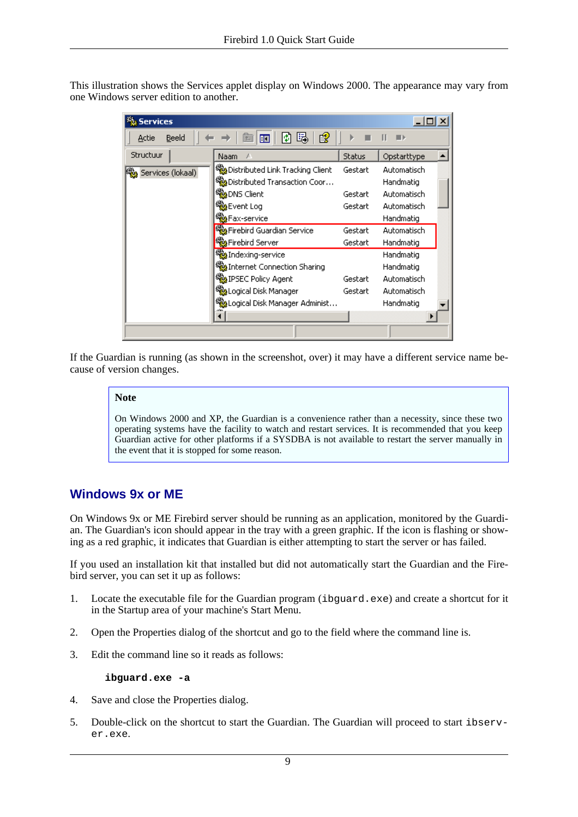<span id="page-8-2"></span>This illustration shows the Services applet display on Windows 2000. The appearance may vary from one Windows server edition to another.

| Services            |                                              |               |             |  |
|---------------------|----------------------------------------------|---------------|-------------|--|
| Beeld<br>Actie      | 暍<br>Ŕ<br>П                                  |               |             |  |
| Structuur           | Naam                                         | <b>Status</b> | Opstarttype |  |
| 鳞 Services (lokaal) | Distributed Link Tracking Client             | Gestart       | Automatisch |  |
|                     | <b>Solution</b> Distributed Transaction Coor |               | Handmatig   |  |
|                     | %BoNS Client                                 | Gestart       | Automatisch |  |
|                     | % <mark></mark> Event Log                    | Gestart       | Automatisch |  |
|                     | %Fax-service                                 |               | Handmatig   |  |
|                     | % Firebird Guardian Service                  | Gestart       | Automatisch |  |
|                     | Firebird Server                              | Gestart       | Handmatig   |  |
|                     | Maxing-service                               |               | Handmatig   |  |
|                     | Sharing Connection Sharing                   |               | Handmatig   |  |
|                     | %RIPSEC Policy Agent                         | Gestart       | Automatisch |  |
|                     | Sological Disk Manager                       | Gestart       | Automatisch |  |
|                     | %aLogical Disk Manager Administ              |               | Handmatig   |  |
|                     |                                              |               |             |  |
|                     |                                              |               |             |  |

<span id="page-8-0"></span>If the Guardian is running (as shown in the screenshot, over) it may have a different service name because of version changes.

#### **Note**

On Windows 2000 and XP, the Guardian is a convenience rather than a necessity, since these two operating systems have the facility to watch and restart services. It is recommended that you keep Guardian active for other platforms if a SYSDBA is not available to restart the server manually in the event that it is stopped for some reason.

### **Windows 9x or ME**

<span id="page-8-1"></span>On Windows 9x or ME Firebird server should be running as an application, monitored by the Guardian. The Guardian's icon should appear in the tray with a green graphic. If the icon is flashing or showing as a red graphic, it indicates that Guardian is either attempting to start the server or has failed.

If you used an installation kit that installed but did not automatically start the Guardian and the Firebird server, you can set it up as follows:

- 1. Locate the executable file for the Guardian program (ibguard.exe) and create a shortcut for it in the Startup area of your machine's Start Menu.
- 2. Open the Properties dialog of the shortcut and go to the field where the command line is.
- 3. Edit the command line so it reads as follows:

#### **ibguard.exe -a**

- 4. Save and close the Properties dialog.
- 5. Double-click on the shortcut to start the Guardian. The Guardian will proceed to start ibserver.exe.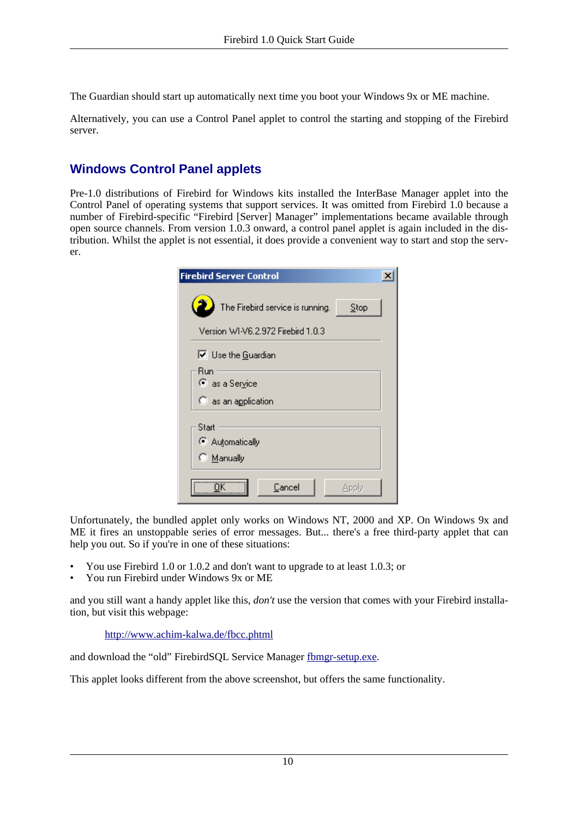The Guardian should start up automatically next time you boot your Windows 9x or ME machine.

Alternatively, you can use a Control Panel applet to control the starting and stopping of the Firebird server.

### <span id="page-9-0"></span>**Windows Control Panel applets**

Pre-1.0 distributions of Firebird for Windows kits installed the InterBase Manager applet into the Control Panel of operating systems that support services. It was omitted from Firebird 1.0 because a number of Firebird-specific "Firebird [Server] Manager" implementations became available through open source channels. From version 1.0.3 onward, a control panel applet is again included in the distribution. Whilst the applet is not essential, it does provide a convenient way to start and stop the server.

| <b>Firebird Server Control</b>              |      |
|---------------------------------------------|------|
| The Firebird service is running.            | Step |
| Version WI-V6.2.972 Firebird 1.0.3          |      |
| $\overline{\triangledown}$ Use the Guardian |      |
| Run<br>as a Service                         |      |
| $\heartsuit$ as an application              |      |
| Start<br>C Automatically<br>C Manually      |      |
| Cancel<br>Apply                             |      |

Unfortunately, the bundled applet only works on Windows NT, 2000 and XP. On Windows 9x and ME it fires an unstoppable series of error messages. But... there's a free third-party applet that can help you out. So if you're in one of these situations:

- You use Firebird 1.0 or 1.0.2 and don't want to upgrade to at least 1.0.3; or
- You run Firebird under Windows 9x or ME

and you still want a handy applet like this, *don't* use the version that comes with your Firebird installation, but visit this webpage:

<http://www.achim-kalwa.de/fbcc.phtml>

and download the "old" FirebirdSQL Service Manager [fbmgr-setup.exe.](http://www.achim-kalwa.de/dl/fbmgr-setup.exe)

This applet looks different from the above screenshot, but offers the same functionality.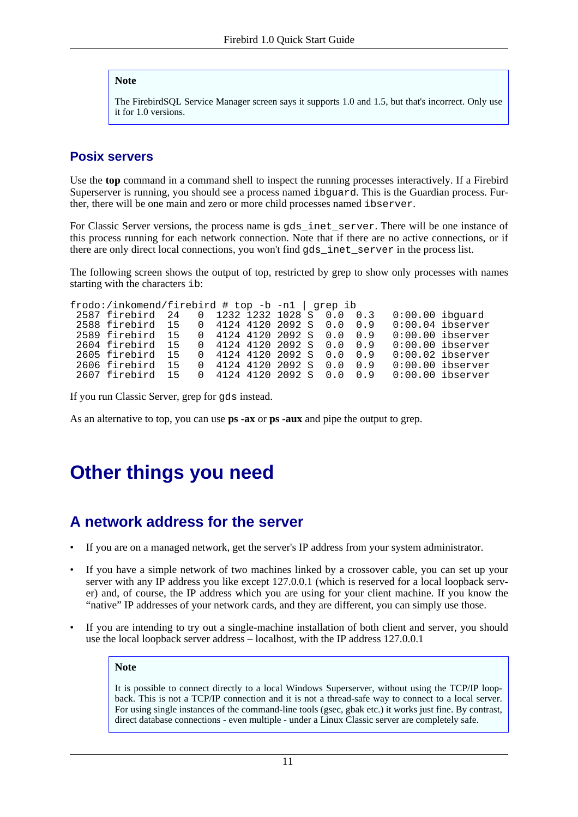#### **Note**

The FirebirdSQL Service Manager screen says it supports 1.0 and 1.5, but that's incorrect. Only use it for 1.0 versions.

### **Posix servers**

<span id="page-10-2"></span>Use the **top** command in a command shell to inspect the running processes interactively. If a Firebird Superserver is running, you should see a process named ibguard. This is the Guardian process. Further, there will be one main and zero or more child processes named ibserver.

For Classic Server versions, the process name is gds\_inet\_server. There will be one instance of this process running for each network connection. Note that if there are no active connections, or if there are only direct local connections, you won't find gds\_inet\_server in the process list.

The following screen shows the output of top, restricted by grep to show only processes with names starting with the characters ib:

| frodo:/inkomend/firebird # top -b -n1   grep ib |          |  |  |                              |     |                    |
|-------------------------------------------------|----------|--|--|------------------------------|-----|--------------------|
| 2587 firebird 24 0 1232 1232 1028 S 0.0 0.3     |          |  |  |                              |     | $0:00.00$ ibquard  |
| 2588 firebird 15                                |          |  |  | $0$ 4124 4120 2092 S 0.0 0.9 |     | $0:00.04$ ibserver |
| 2589 firebird 15                                |          |  |  | $0$ 4124 4120 2092 S 0.0 0.9 |     | $0:00.00$ ibserver |
| 2604 firebird 15                                |          |  |  | $0$ 4124 4120 2092 S 0.0 0.9 |     | $0:00.00$ ibserver |
| 2605 firebird 15                                |          |  |  | $0$ 4124 4120 2092 S 0.0 0.9 |     | $0:00.02$ ibserver |
| 2606 firebird 15                                | $\Omega$ |  |  | 4124 4120 2092 S 0.0         | 0.9 | $0:00.00$ ibserver |
| 2607 firebird 15                                |          |  |  | $0$ 4124 4120 2092 S 0.0 0.9 |     | $0:00.00$ ibserver |

If you run Classic Server, grep for gds instead.

<span id="page-10-0"></span>As an alternative to top, you can use **ps -ax** or **ps -aux** and pipe the output to grep.

# <span id="page-10-1"></span>**Other things you need**

## <span id="page-10-3"></span>**A network address for the server**

- If you are on a managed network, get the server's IP address from your system administrator.
- If you have a simple network of two machines linked by a crossover cable, you can set up your server with any IP address you like except 127.0.0.1 (which is reserved for a local loopback server) and, of course, the IP address which you are using for your client machine. If you know the "native" IP addresses of your network cards, and they are different, you can simply use those.
- If you are intending to try out a single-machine installation of both client and server, you should use the local loopback server address – localhost, with the IP address 127.0.0.1

#### **Note**

It is possible to connect directly to a local Windows Superserver, without using the TCP/IP loopback. This is not a TCP/IP connection and it is not a thread-safe way to connect to a local server. For using single instances of the command-line tools (gsec, gbak etc.) it works just fine. By contrast, direct database connections - even multiple - under a Linux Classic server are completely safe.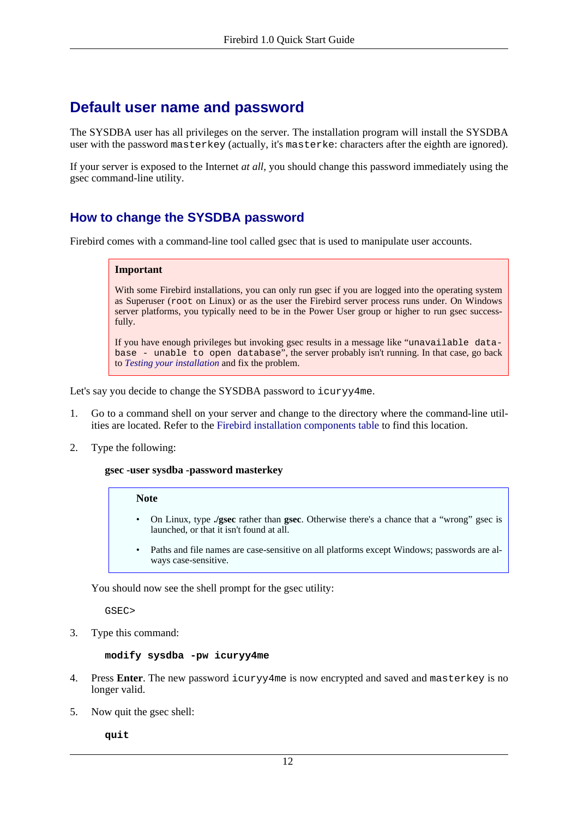## <span id="page-11-2"></span><span id="page-11-0"></span>**Default user name and password**

<span id="page-11-3"></span>The SYSDBA user has all privileges on the server. The installation program will install the SYSDBA user with the password masterkey (actually, it's masterke: characters after the eighth are ignored).

If your server is exposed to the Internet *at all*, you should change this password immediately using the gsec command-line utility.

### <span id="page-11-1"></span>**How to change the SYSDBA password**

Firebird comes with a command-line tool called gsec that is used to manipulate user accounts.

#### **Important**

With some Firebird installations, you can only run gsec if you are logged into the operating system as Superuser (root on Linux) or as the user the Firebird server process runs under. On Windows server platforms, you typically need to be in the Power User group or higher to run gsec successfully.

If you have enough privileges but invoking gsec results in a message like "unavailable database - unable to open database", the server probably isn't running. In that case, go back to *[Testing your installation](#page-7-0)* and fix the problem.

Let's say you decide to change the SYSDBA password to icuryy4me.

- 1. Go to a command shell on your server and change to the directory where the command-line utilities are located. Refer to the [Firebird installation components table](#page-4-1) to find this location.
- 2. Type the following:

#### **gsec -user sysdba -password masterkey**

#### **Note**

- On Linux, type **./gsec** rather than **gsec**. Otherwise there's a chance that a "wrong" gsec is launched, or that it isn't found at all.
- Paths and file names are case-sensitive on all platforms except Windows; passwords are always case-sensitive.

You should now see the shell prompt for the gsec utility:

GSEC>

3. Type this command:

#### **modify sysdba -pw icuryy4me**

- 4. Press **Enter**. The new password icuryy4me is now encrypted and saved and masterkey is no longer valid.
- 5. Now quit the gsec shell:

**quit**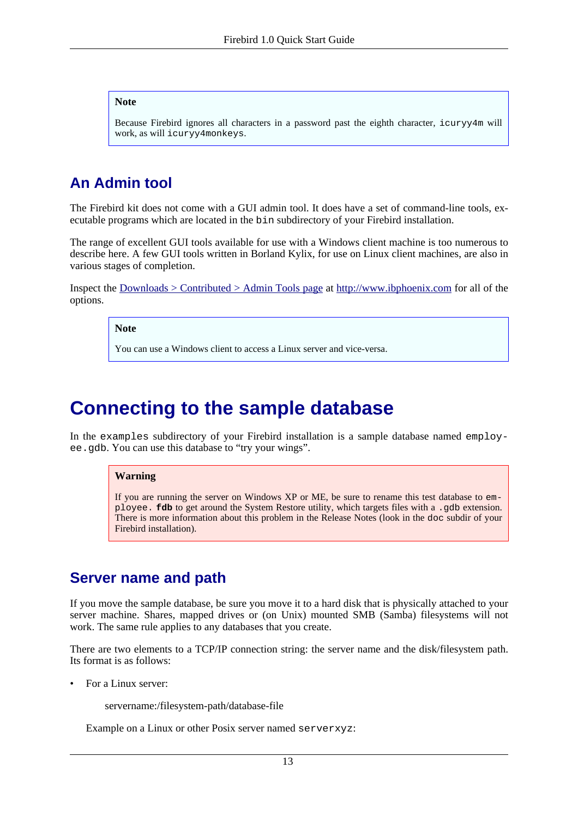#### **Note**

Because Firebird ignores all characters in a password past the eighth character, icuryy4m will work, as will icuryy4monkeys.

## <span id="page-12-3"></span><span id="page-12-0"></span>**An Admin tool**

The Firebird kit does not come with a GUI admin tool. It does have a set of command-line tools, executable programs which are located in the bin subdirectory of your Firebird installation.

The range of excellent GUI tools available for use with a Windows client machine is too numerous to describe here. A few GUI tools written in Borland Kylix, for use on Linux client machines, are also in various stages of completion.

Inspect the Downloads > [Contributed](http://www.ibphoenix.com/main.nfs?a=ibphoenix&page=ibp_contrib_download#ADM) > Admin Tools page at <http://www.ibphoenix.com> for all of the options.

**Note**

You can use a Windows client to access a Linux server and vice-versa.

# <span id="page-12-4"></span><span id="page-12-1"></span>**Connecting to the sample database**

In the examples subdirectory of your Firebird installation is a sample database named employee.gdb. You can use this database to "try your wings".

#### **Warning**

If you are running the server on Windows XP or ME, be sure to rename this test database to employee. **fdb** to get around the System Restore utility, which targets files with a .gdb extension. There is more information about this problem in the Release Notes (look in the doc subdir of your Firebird installation).

## <span id="page-12-5"></span><span id="page-12-2"></span>**Server name and path**

If you move the sample database, be sure you move it to a hard disk that is physically attached to your server machine. Shares, mapped drives or (on Unix) mounted SMB (Samba) filesystems will not work. The same rule applies to any databases that you create.

There are two elements to a TCP/IP connection string: the server name and the disk/filesystem path. Its format is as follows:

- For a Linux server:
	- servername:/filesystem-path/database-file

Example on a Linux or other Posix server named serverxyz: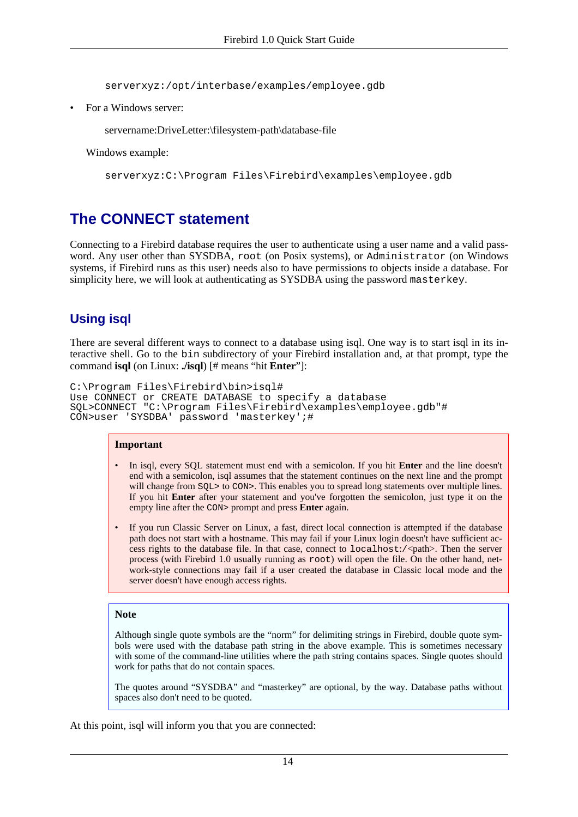serverxyz:/opt/interbase/examples/employee.gdb

• For a Windows server:

servername:DriveLetter:\filesystem-path\database-file

Windows example:

serverxyz:C:\Program Files\Firebird\examples\employee.gdb

## <span id="page-13-1"></span><span id="page-13-0"></span>**The CONNECT statement**

Connecting to a Firebird database requires the user to authenticate using a user name and a valid password. Any user other than SYSDBA, root (on Posix systems), or Administrator (on Windows systems, if Firebird runs as this user) needs also to have permissions to objects inside a database. For simplicity here, we will look at authenticating as SYSDBA using the password masterkey.

### <span id="page-13-2"></span>**Using isql**

There are several different ways to connect to a database using isql. One way is to start isql in its interactive shell. Go to the bin subdirectory of your Firebird installation and, at that prompt, type the command **isql** (on Linux: **./isql**) [# means "hit **Enter**"]:

```
C:\Program Files\Firebird\bin>isql#
Use CONNECT or CREATE DATABASE to specify a database
SQL>CONNECT "C:\Program Files\Firebird\examples\employee.gdb"#
CON>user 'SYSDBA' password 'masterkey';#
```
#### **Important**

- In isql, every SQL statement must end with a semicolon. If you hit **Enter** and the line doesn't end with a semicolon, isql assumes that the statement continues on the next line and the prompt will change from  $SQL>$  to CON>. This enables you to spread long statements over multiple lines. If you hit **Enter** after your statement and you've forgotten the semicolon, just type it on the empty line after the CON> prompt and press **Enter** again.
- If you run Classic Server on Linux, a fast, direct local connection is attempted if the database path does not start with a hostname. This may fail if your Linux login doesn't have sufficient access rights to the database file. In that case, connect to localhost:/<path>. Then the server process (with Firebird 1.0 usually running as root) will open the file. On the other hand, network-style connections may fail if a user created the database in Classic local mode and the server doesn't have enough access rights.

#### **Note**

Although single quote symbols are the "norm" for delimiting strings in Firebird, double quote symbols were used with the database path string in the above example. This is sometimes necessary with some of the command-line utilities where the path string contains spaces. Single quotes should work for paths that do not contain spaces.

The quotes around "SYSDBA" and "masterkey" are optional, by the way. Database paths without spaces also don't need to be quoted.

At this point, isql will inform you that you are connected: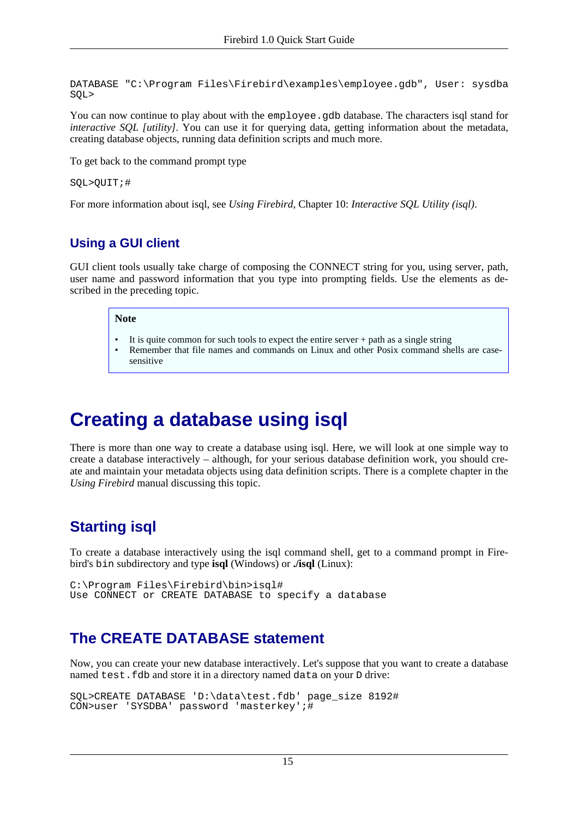```
DATABASE "C:\Program Files\Firebird\examples\employee.gdb", User: sysdba
SQL>
```
You can now continue to play about with the employee.gdb database. The characters isql stand for *interactive SOL [utility]*. You can use it for querying data, getting information about the metadata, creating database objects, running data definition scripts and much more.

To get back to the command prompt type

```
SQL>QUIT;#
```
For more information about isql, see *Using Firebird*, Chapter 10: *Interactive SQL Utility (isql)*.

### <span id="page-14-4"></span>**Using a GUI client**

GUI client tools usually take charge of composing the CONNECT string for you, using server, path, user name and password information that you type into prompting fields. Use the elements as described in the preceding topic.

#### **Note**

- It is quite common for such tools to expect the entire server  $+$  path as a single string
- Remember that file names and commands on Linux and other Posix command shells are casesensitive

# <span id="page-14-5"></span><span id="page-14-0"></span>**Creating a database using isql**

There is more than one way to create a database using isql. Here, we will look at one simple way to create a database interactively – although, for your serious database definition work, you should create and maintain your metadata objects using data definition scripts. There is a complete chapter in the *Using Firebird* manual discussing this topic.

# <span id="page-14-1"></span>**Starting isql**

To create a database interactively using the isql command shell, get to a command prompt in Firebird's bin subdirectory and type **isql** (Windows) or **./isql** (Linux):

```
C:\Program Files\Firebird\bin>isql#
Use CONNECT or CREATE DATABASE to specify a database
```
## <span id="page-14-3"></span>**The CREATE DATABASE statement**

Now, you can create your new database interactively. Let's suppose that you want to create a database named test.fdb and store it in a directory named data on your D drive:

```
SQL>CREATE DATABASE 'D:\data\test.fdb' page_size 8192#
CON>user 'SYSDBA' password 'masterkey';#
```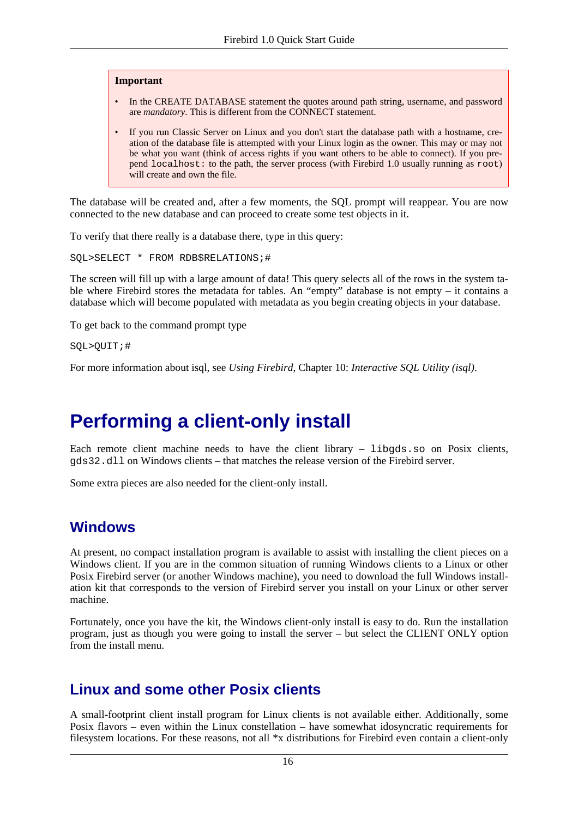#### **Important**

- In the CREATE DATABASE statement the quotes around path string, username, and password are *mandatory*. This is different from the CONNECT statement.
- If you run Classic Server on Linux and you don't start the database path with a hostname, creation of the database file is attempted with your Linux login as the owner. This may or may not be what you want (think of access rights if you want others to be able to connect). If you prepend localhost: to the path, the server process (with Firebird 1.0 usually running as root) will create and own the file.

The database will be created and, after a few moments, the SQL prompt will reappear. You are now connected to the new database and can proceed to create some test objects in it.

To verify that there really is a database there, type in this query:

SQL>SELECT \* FROM RDB\$RELATIONS;#

The screen will fill up with a large amount of data! This query selects all of the rows in the system table where Firebird stores the metadata for tables. An "empty" database is not empty – it contains a database which will become populated with metadata as you begin creating objects in your database.

To get back to the command prompt type

SQL>QUIT;#

<span id="page-15-0"></span>For more information about isql, see *Using Firebird*, Chapter 10: *Interactive SQL Utility (isql)*.

# <span id="page-15-3"></span>**Performing a client-only install**

Each remote client machine needs to have the client library  $-$  libgds.so on Posix clients, gds32.dll on Windows clients – that matches the release version of the Firebird server.

<span id="page-15-1"></span>Some extra pieces are also needed for the client-only install.

### **Windows**

At present, no compact installation program is available to assist with installing the client pieces on a Windows client. If you are in the common situation of running Windows clients to a Linux or other Posix Firebird server (or another Windows machine), you need to download the full Windows installation kit that corresponds to the version of Firebird server you install on your Linux or other server machine.

<span id="page-15-2"></span>Fortunately, once you have the kit, the Windows client-only install is easy to do. Run the installation program, just as though you were going to install the server – but select the CLIENT ONLY option from the install menu.

### **Linux and some other Posix clients**

A small-footprint client install program for Linux clients is not available either. Additionally, some Posix flavors – even within the Linux constellation – have somewhat idosyncratic requirements for filesystem locations. For these reasons, not all \*x distributions for Firebird even contain a client-only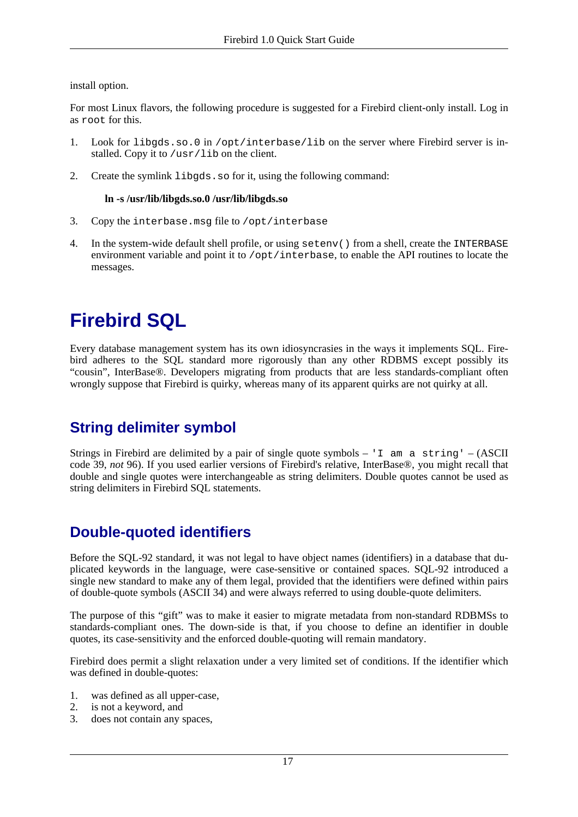install option.

For most Linux flavors, the following procedure is suggested for a Firebird client-only install. Log in as root for this.

- 1. Look for libgds.so.0 in /opt/interbase/lib on the server where Firebird server is installed. Copy it to /usr/lib on the client.
- 2. Create the symlink libgds.so for it, using the following command:

### **ln -s /usr/lib/libgds.so.0 /usr/lib/libgds.so**

- 3. Copy the interbase.msg file to /opt/interbase
- <span id="page-16-0"></span>4. In the system-wide default shell profile, or using setenv() from a shell, create the INTERBASE environment variable and point it to  $\sqrt{\text{opt}}$  interbase, to enable the API routines to locate the messages.

# <span id="page-16-4"></span>**Firebird SQL**

Every database management system has its own idiosyncrasies in the ways it implements SQL. Firebird adheres to the SQL standard more rigorously than any other RDBMS except possibly its "cousin", InterBase®. Developers migrating from products that are less standards-compliant often wrongly suppose that Firebird is quirky, whereas many of its apparent quirks are not quirky at all.

# <span id="page-16-5"></span><span id="page-16-1"></span>**String delimiter symbol**

Strings in Firebird are delimited by a pair of single quote symbols – 'I am a string' –  $(ASCII)$ code 39, *not* 96). If you used earlier versions of Firebird's relative, InterBase®, you might recall that double and single quotes were interchangeable as string delimiters. Double quotes cannot be used as string delimiters in Firebird SQL statements.

## <span id="page-16-3"></span><span id="page-16-2"></span>**Double-quoted identifiers**

Before the SQL-92 standard, it was not legal to have object names (identifiers) in a database that duplicated keywords in the language, were case-sensitive or contained spaces. SQL-92 introduced a single new standard to make any of them legal, provided that the identifiers were defined within pairs of double-quote symbols (ASCII 34) and were always referred to using double-quote delimiters.

The purpose of this "gift" was to make it easier to migrate metadata from non-standard RDBMSs to standards-compliant ones. The down-side is that, if you choose to define an identifier in double quotes, its case-sensitivity and the enforced double-quoting will remain mandatory.

Firebird does permit a slight relaxation under a very limited set of conditions. If the identifier which was defined in double-quotes:

- 1. was defined as all upper-case,
- 2. is not a keyword, and
- 3. does not contain any spaces,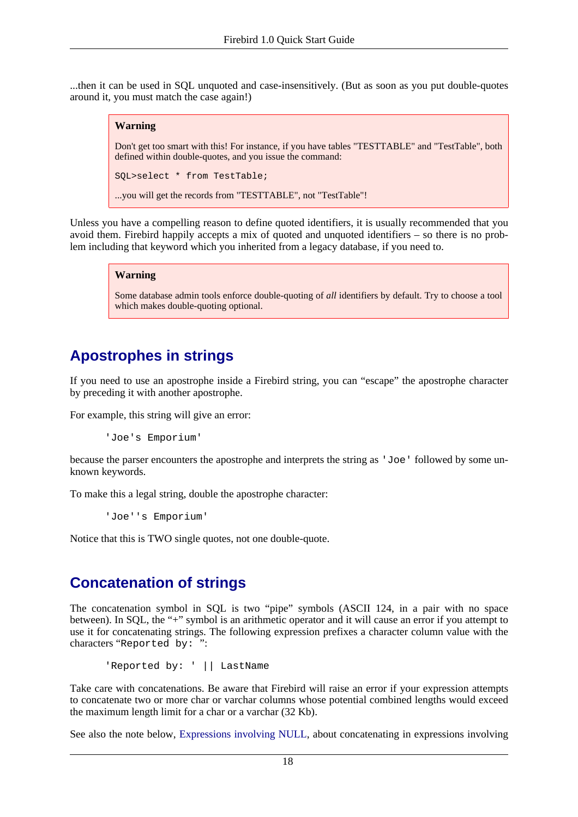...then it can be used in SQL unquoted and case-insensitively. (But as soon as you put double-quotes around it, you must match the case again!)

### **Warning**

Don't get too smart with this! For instance, if you have tables "TESTTABLE" and "TestTable", both defined within double-quotes, and you issue the command:

SQL>select \* from TestTable;

...you will get the records from "TESTTABLE", not "TestTable"!

Unless you have a compelling reason to define quoted identifiers, it is usually recommended that you avoid them. Firebird happily accepts a mix of quoted and unquoted identifiers – so there is no problem including that keyword which you inherited from a legacy database, if you need to.

#### **Warning**

Some database admin tools enforce double-quoting of *all* identifiers by default. Try to choose a tool which makes double-quoting optional.

## <span id="page-17-2"></span><span id="page-17-0"></span>**Apostrophes in strings**

If you need to use an apostrophe inside a Firebird string, you can "escape" the apostrophe character by preceding it with another apostrophe.

For example, this string will give an error:

'Joe's Emporium'

because the parser encounters the apostrophe and interprets the string as 'Joe' followed by some unknown keywords.

To make this a legal string, double the apostrophe character:

'Joe''s Emporium'

<span id="page-17-1"></span>Notice that this is TWO single quotes, not one double-quote.

## <span id="page-17-3"></span>**Concatenation of strings**

The concatenation symbol in SQL is two "pipe" symbols (ASCII 124, in a pair with no space between). In SQL, the "+" symbol is an arithmetic operator and it will cause an error if you attempt to use it for concatenating strings. The following expression prefixes a character column value with the characters "Reported by: ":

```
'Reported by: ' || LastName
```
Take care with concatenations. Be aware that Firebird will raise an error if your expression attempts to concatenate two or more char or varchar columns whose potential combined lengths would exceed the maximum length limit for a char or a varchar (32 Kb).

See also the note below, [Expressions involving NULL,](#page-18-1) about concatenating in expressions involving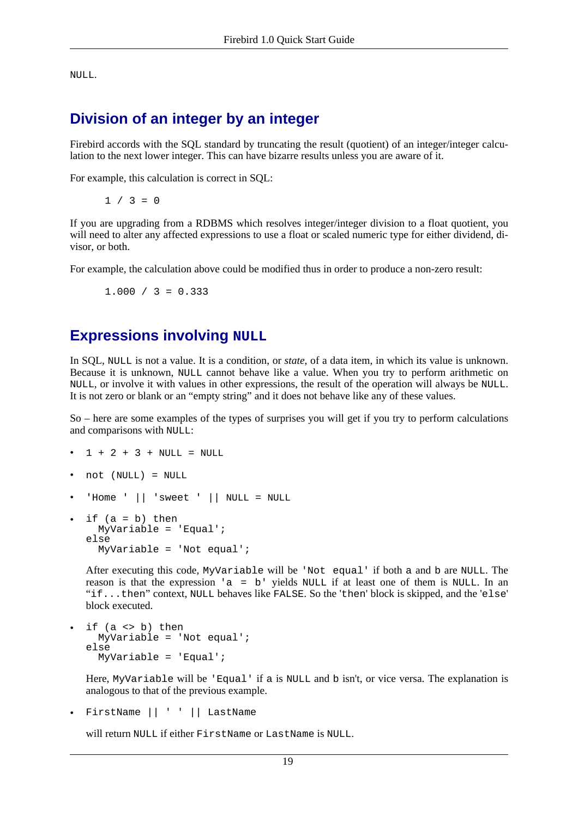<span id="page-18-0"></span>NULL.

## <span id="page-18-2"></span>**Division of an integer by an integer**

Firebird accords with the SQL standard by truncating the result (quotient) of an integer/integer calculation to the next lower integer. This can have bizarre results unless you are aware of it.

For example, this calculation is correct in SQL:

 $1 / 3 = 0$ 

If you are upgrading from a RDBMS which resolves integer/integer division to a float quotient, you will need to alter any affected expressions to use a float or scaled numeric type for either dividend, divisor, or both.

<span id="page-18-1"></span>For example, the calculation above could be modified thus in order to produce a non-zero result:

 $1.000 / 3 = 0.333$ 

## <span id="page-18-3"></span>**Expressions involving NULL**

In SQL, NULL is not a value. It is a condition, or *state*, of a data item, in which its value is unknown. Because it is unknown, NULL cannot behave like a value. When you try to perform arithmetic on NULL, or involve it with values in other expressions, the result of the operation will always be NULL. It is not zero or blank or an "empty string" and it does not behave like any of these values.

So – here are some examples of the types of surprises you will get if you try to perform calculations and comparisons with NULL:

- $1 + 2 + 3 +$  NULL = NULL
- not (NULL) = NULL
- 'Home ' || 'sweet ' || NULL = NULL
- if  $(a = b)$  then MyVariable = 'Equal'; else MyVariable = 'Not equal';

After executing this code, MyVariable will be 'Not equal' if both a and b are NULL. The reason is that the expression 'a = b' yields NULL if at least one of them is NULL. In an "if...then" context, NULL behaves like FALSE. So the 'then' block is skipped, and the 'else' block executed.

if  $(a \le b)$  then MyVariable = 'Not equal'; else MyVariable = 'Equal';

Here, MyVariable will be 'Equal' if a is NULL and b isn't, or vice versa. The explanation is analogous to that of the previous example.

• FirstName || ' ' || LastName

will return NULL if either FirstName or LastName is NULL.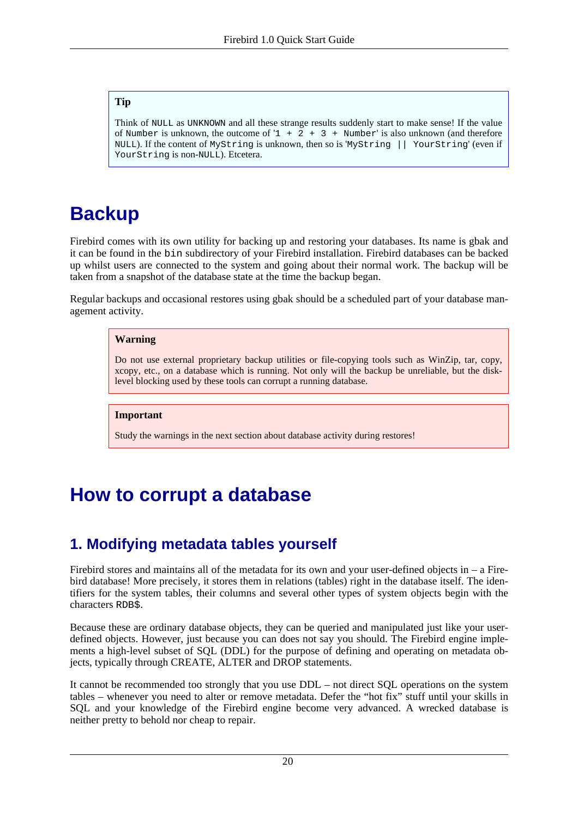### **Tip**

Think of NULL as UNKNOWN and all these strange results suddenly start to make sense! If the value of Number is unknown, the outcome of  $1 + 2 + 3 +$  Number' is also unknown (and therefore NULL). If the content of MyString is unknown, then so is 'MyString || YourString' (even if YourString is non-NULL). Etcetera.

# <span id="page-19-3"></span><span id="page-19-0"></span>**Backup**

Firebird comes with its own utility for backing up and restoring your databases. Its name is gbak and it can be found in the bin subdirectory of your Firebird installation. Firebird databases can be backed up whilst users are connected to the system and going about their normal work. The backup will be taken from a snapshot of the database state at the time the backup began.

Regular backups and occasional restores using gbak should be a scheduled part of your database management activity.

#### **Warning**

Do not use external proprietary backup utilities or file-copying tools such as WinZip, tar, copy, xcopy, etc., on a database which is running. Not only will the backup be unreliable, but the disklevel blocking used by these tools can corrupt a running database.

### **Important**

Study the warnings in the next section about database activity during restores!

# <span id="page-19-4"></span><span id="page-19-2"></span><span id="page-19-1"></span>**How to corrupt a database**

# <span id="page-19-5"></span>**1. Modifying metadata tables yourself**

Firebird stores and maintains all of the metadata for its own and your user-defined objects in  $-$  a Firebird database! More precisely, it stores them in relations (tables) right in the database itself. The identifiers for the system tables, their columns and several other types of system objects begin with the characters RDB\$.

Because these are ordinary database objects, they can be queried and manipulated just like your userdefined objects. However, just because you can does not say you should. The Firebird engine implements a high-level subset of SQL (DDL) for the purpose of defining and operating on metadata objects, typically through CREATE, ALTER and DROP statements.

It cannot be recommended too strongly that you use DDL – not direct SQL operations on the system tables – whenever you need to alter or remove metadata. Defer the "hot fix" stuff until your skills in SQL and your knowledge of the Firebird engine become very advanced. A wrecked database is neither pretty to behold nor cheap to repair.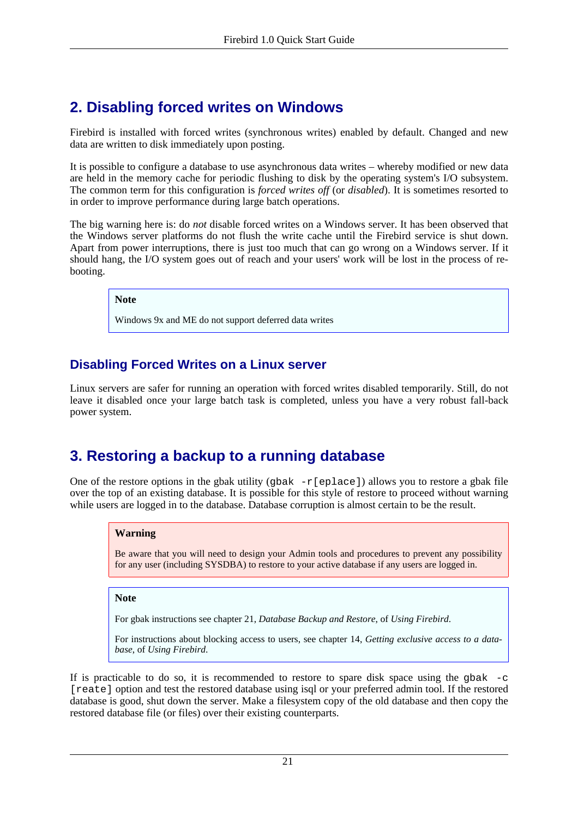# <span id="page-20-3"></span><span id="page-20-0"></span>**2. Disabling forced writes on Windows**

Firebird is installed with forced writes (synchronous writes) enabled by default. Changed and new data are written to disk immediately upon posting.

It is possible to configure a database to use asynchronous data writes – whereby modified or new data are held in the memory cache for periodic flushing to disk by the operating system's I/O subsystem. The common term for this configuration is *forced writes off* (or *disabled*). It is sometimes resorted to in order to improve performance during large batch operations.

The big warning here is: do *not* disable forced writes on a Windows server. It has been observed that the Windows server platforms do not flush the write cache until the Firebird service is shut down. Apart from power interruptions, there is just too much that can go wrong on a Windows server. If it should hang, the I/O system goes out of reach and your users' work will be lost in the process of rebooting.

**Note**

Windows 9x and ME do not support deferred data writes

### **Disabling Forced Writes on a Linux server**

<span id="page-20-1"></span>Linux servers are safer for running an operation with forced writes disabled temporarily. Still, do not leave it disabled once your large batch task is completed, unless you have a very robust fall-back power system.

# <span id="page-20-2"></span>**3. Restoring a backup to a running database**

One of the restore options in the gbak utility (gbak  $-r[eplace]$ ) allows you to restore a gbak file over the top of an existing database. It is possible for this style of restore to proceed without warning while users are logged in to the database. Database corruption is almost certain to be the result.

### **Warning**

Be aware that you will need to design your Admin tools and procedures to prevent any possibility for any user (including SYSDBA) to restore to your active database if any users are logged in.

### **Note**

For gbak instructions see chapter 21, *Database Backup and Restore*, of *Using Firebird*.

For instructions about blocking access to users, see chapter 14, *Getting exclusive access to a database*, of *Using Firebird*.

If is practicable to do so, it is recommended to restore to spare disk space using the  $q$ bak  $-c$ [reate] option and test the restored database using isql or your preferred admin tool. If the restored database is good, shut down the server. Make a filesystem copy of the old database and then copy the restored database file (or files) over their existing counterparts.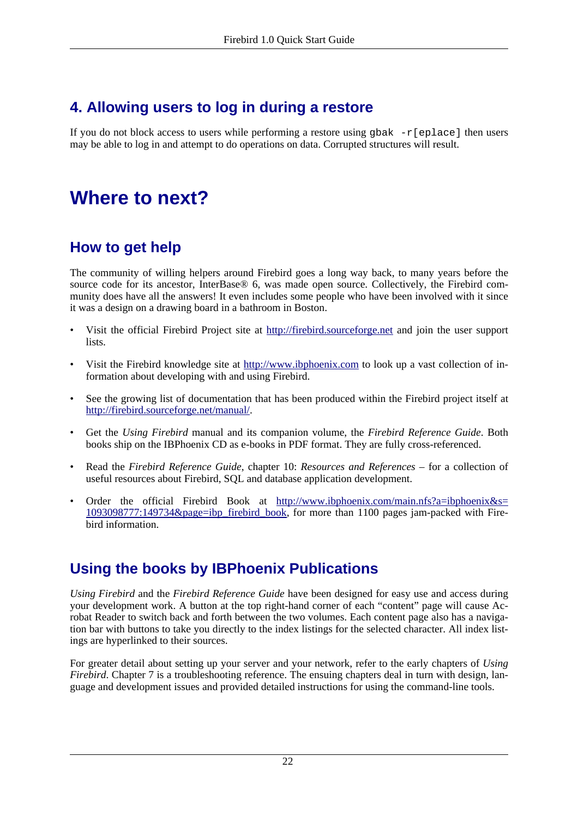# <span id="page-21-6"></span><span id="page-21-0"></span>**4. Allowing users to log in during a restore**

<span id="page-21-1"></span>If you do not block access to users while performing a restore using gbak  $-r$ [eplace] then users may be able to log in and attempt to do operations on data. Corrupted structures will result.

# <span id="page-21-2"></span>**Where to next?**

# <span id="page-21-7"></span>**How to get help**

The community of willing helpers around Firebird goes a long way back, to many years before the source code for its ancestor, InterBase® 6, was made open source. Collectively, the Firebird community does have all the answers! It even includes some people who have been involved with it since it was a design on a drawing board in a bathroom in Boston.

- Visit the official Firebird Project site at ht[tp://firebird.sourceforge.net](http://firebird.sourceforge.net) and join the user support lists.
- Visit the Firebird knowledge site at <http://www.ibphoenix.com> to look up a vast collection of information about developing with and using Firebird.
- See the growing list of documentation that has been produced within the Firebird project itself at <http://firebird.sourceforge.net/manual/>.
- Get the *Using Firebird* manual and its companion volume, the *Firebird Reference Guide*. Both books ship on the IBPhoenix CD as e-books in PDF format. They are fully cross-referenced.
- Read the *Firebird Reference Guide*, chapter 10: *Resources and References* for a collection of useful resources about Firebird, SQL and database application development.
- <span id="page-21-5"></span><span id="page-21-3"></span>• Order the official Firebird Book at http://w[ww.ibphoenix.com/main.nfs?a=ibphoenix&s=](http://www.ibphoenix.com/main.nfs?a=ibphoenix&s=1093098777:149734&page=ibp_firebird_book) [1093098777:149734&page=ibp\\_firebird\\_book](http://www.ibphoenix.com/main.nfs?a=ibphoenix&s=1093098777:149734&page=ibp_firebird_book), for more than 1100 pages jam-packed with Firebird information.

# <span id="page-21-4"></span>**Using the books by IBPhoenix Publications**

*Using Firebird* and the *Firebird Reference Guide* have been designed for easy use and access during your development work. A button at the top right-hand corner of each "content" page will cause Acrobat Reader to switch back and forth between the two volumes. Each content page also has a navigation bar with buttons to take you directly to the index listings for the selected character. All index listings are hyperlinked to their sources.

For greater detail about setting up your server and your network, refer to the early chapters of *Using Firebird*. Chapter 7 is a troubleshooting reference. The ensuing chapters deal in turn with design, language and development issues and provided detailed instructions for using the command-line tools.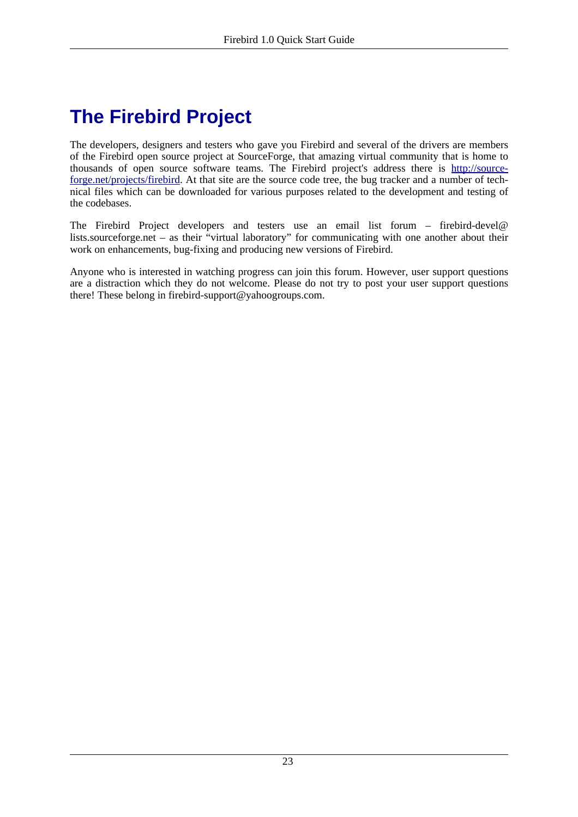# <span id="page-22-1"></span><span id="page-22-0"></span>**The Firebird Project**

The developers, designers and testers who gave you Firebird and several of the drivers are members of the Firebird open source project at SourceForge, that amazing virtual community that is home to thousands of open source software teams. The Firebird project's address there is http://so[urce](http://sourceforge.net/projects/firebird)[forge.net/projects/firebird](http://sourceforge.net/projects/firebird). At that site are the source code tree, the bug tracker and a number of technical files which can be downloaded for various purposes related to the development and testing of the codebases.

The Firebird Project developers and testers use an email list forum – firebird-devel@ lists.sourceforge.net – as their "virtual laboratory" for communicating with one another about their work on enhancements, bug-fixing and producing new versions of Firebird.

Anyone who is interested in watching progress can join this forum. However, user support questions are a distraction which they do not welcome. Please do not try to post your user support questions there! These belong in firebird-support@yahoogroups.com.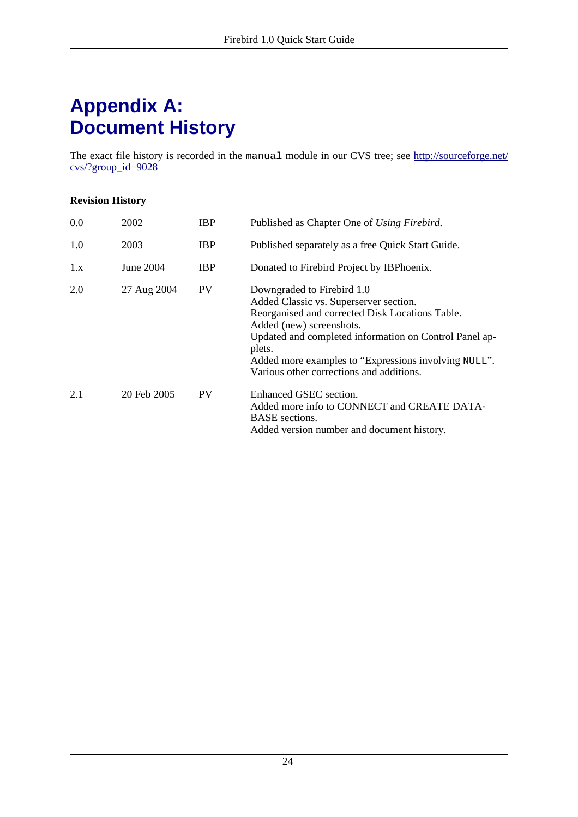# <span id="page-23-1"></span><span id="page-23-0"></span>**Appendix A: Document History**

The exact file history is recorded in the manual module in our CVS tree; see ht[tp://sourceforge.net/](http://sourceforge.net/cvs/?group_id=9028) [cvs/?group\\_id=9028](http://sourceforge.net/cvs/?group_id=9028)

### **Revision History**

| 0.0 | 2002        | <b>IBP</b> | Published as Chapter One of Using Firebird.                                                                                                                                                                                                                                                                                 |
|-----|-------------|------------|-----------------------------------------------------------------------------------------------------------------------------------------------------------------------------------------------------------------------------------------------------------------------------------------------------------------------------|
| 1.0 | 2003        | <b>IBP</b> | Published separately as a free Quick Start Guide.                                                                                                                                                                                                                                                                           |
| 1.x | June 2004   | <b>IBP</b> | Donated to Firebird Project by IBPhoenix.                                                                                                                                                                                                                                                                                   |
| 2.0 | 27 Aug 2004 | <b>PV</b>  | Downgraded to Firebird 1.0<br>Added Classic vs. Superserver section.<br>Reorganised and corrected Disk Locations Table.<br>Added (new) screenshots.<br>Updated and completed information on Control Panel ap-<br>plets.<br>Added more examples to "Expressions involving NULL".<br>Various other corrections and additions. |
| 2.1 | 20 Feb 2005 | <b>PV</b>  | Enhanced GSEC section.<br>Added more info to CONNECT and CREATE DATA-<br><b>BASE</b> sections.<br>Added version number and document history.                                                                                                                                                                                |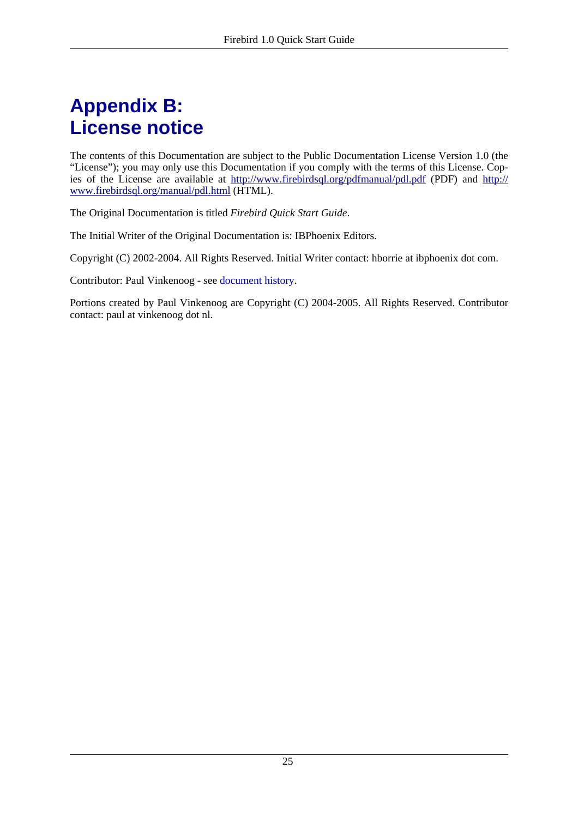# <span id="page-24-1"></span><span id="page-24-0"></span>**Appendix B: License notice**

The contents of this Documentation are subject to the Public Documentation License Version 1.0 (the "License"); you may only use this Documentation if you comply with the terms of this License. Copies of the License are available at htt[p://www.firebirdsql.org/pdfmanual/pdl.pdf](#page-0-0) (PDF) and http:[//](http://www.firebirdsql.org/manual/pdl.html) [www.firebirdsql.org/manual/pdl.html](http://www.firebirdsql.org/manual/pdl.html) (HTML).

The Original Documentation is titled *Firebird Quick Start Guide*.

The Initial Writer of the Original Documentation is: IBPhoenix Editors.

Copyright (C) 2002-2004. All Rights Reserved. Initial Writer contact: hborrie at ibphoenix dot com.

Contributor: Paul Vinkenoog - see [document history.](#page-23-0)

Portions created by Paul Vinkenoog are Copyright (C) 2004-2005. All Rights Reserved. Contributor contact: paul at vinkenoog dot nl.